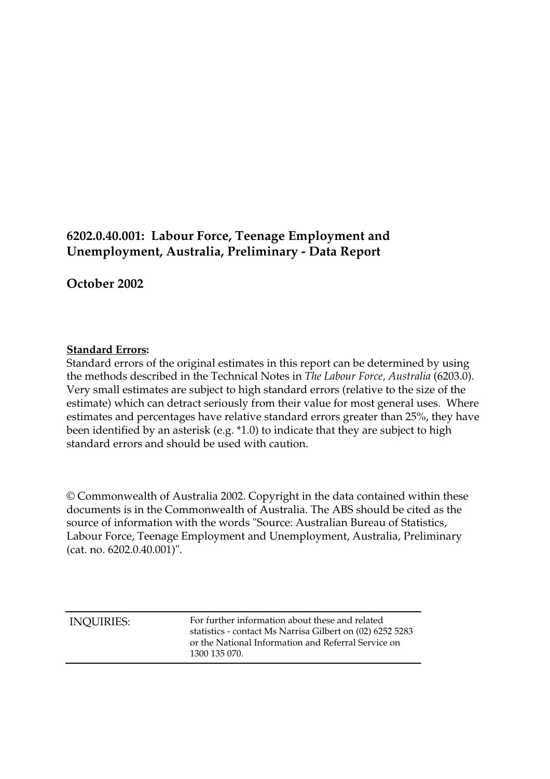# **6202.0.40.001: Labour Force, Teenage Employment and Unemployment, Australia, Preliminary - Data Report**

**October 2002**

## **Standard Errors:**

Standard errors of the original estimates in this report can be determined by using the methods described in the Technical Notes in *The Labour Force, Australia* (6203.0). Very small estimates are subject to high standard errors (relative to the size of the estimate) which can detract seriously from their value for most general uses. Where estimates and percentages have relative standard errors greater than 25%, they have been identified by an asterisk (e.g. \*1.0) to indicate that they are subject to high standard errors and should be used with caution.

© Commonwealth of Australia 2002. Copyright in the data contained within these documents is in the Commonwealth of Australia. The ABS should be cited as the source of information with the words "Source: Australian Bureau of Statistics, Labour Force, Teenage Employment and Unemployment, Australia, Preliminary (cat. no. 6202.0.40.001)".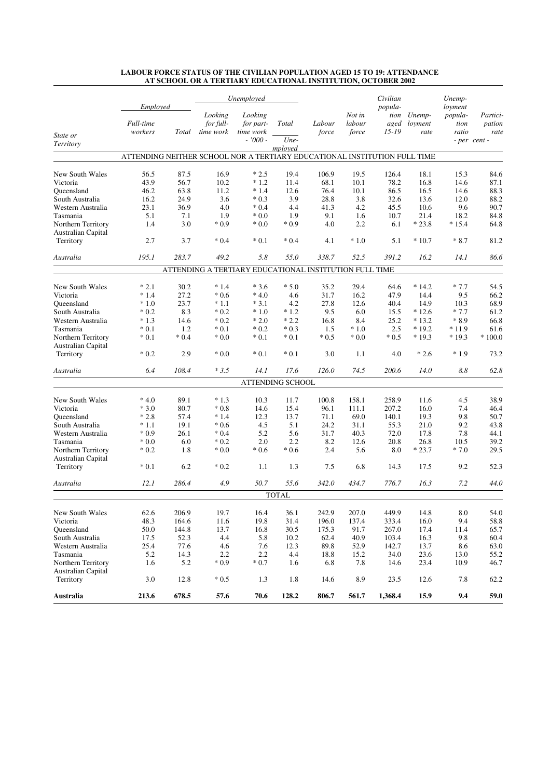|                                          |                                                                           |        | Unemployed                        |                                                        |                          |                 |                           | Civilian                             |                           | Unemp-                              |                                            |
|------------------------------------------|---------------------------------------------------------------------------|--------|-----------------------------------|--------------------------------------------------------|--------------------------|-----------------|---------------------------|--------------------------------------|---------------------------|-------------------------------------|--------------------------------------------|
| State or                                 | Employed<br>Full-time<br>workers                                          | Total  | Looking<br>for full-<br>time work | Looking<br>for part-<br>time work<br>$-7000 -$         | Total<br>Une-<br>mployed | Labour<br>force | Not in<br>labour<br>force | popula-<br>tion<br>aged<br>$15 - 19$ | Unemp-<br>loyment<br>rate | loyment<br>popula-<br>tion<br>ratio | Partici-<br>pation<br>rate<br>- per cent - |
| Territory                                |                                                                           |        |                                   |                                                        |                          |                 |                           |                                      |                           |                                     |                                            |
|                                          | ATTENDING NEITHER SCHOOL NOR A TERTIARY EDUCATIONAL INSTITUTION FULL TIME |        |                                   |                                                        |                          |                 |                           |                                      |                           |                                     |                                            |
| New South Wales                          | 56.5                                                                      | 87.5   | 16.9                              | $*2.5$                                                 | 19.4                     | 106.9           | 19.5                      | 126.4                                | 18.1                      | 15.3                                | 84.6                                       |
| Victoria                                 | 43.9                                                                      | 56.7   | 10.2                              | $*1.2$                                                 | 11.4                     | 68.1            | 10.1                      | 78.2                                 | 16.8                      | 14.6                                | 87.1                                       |
| Queensland                               | 46.2                                                                      | 63.8   | 11.2                              | $*1.4$                                                 | 12.6                     | 76.4            | 10.1                      | 86.5                                 | 16.5                      | 14.6                                | 88.3                                       |
| South Australia                          | 16.2                                                                      | 24.9   | 3.6                               | $*0.3$                                                 | 3.9                      | 28.8            | 3.8                       | 32.6                                 | 13.6                      | 12.0                                | 88.2                                       |
| Western Australia                        | 23.1                                                                      | 36.9   | 4.0                               | $*0.4$                                                 | 4.4                      | 41.3            | 4.2                       | 45.5                                 | 10.6                      | 9.6                                 | 90.7                                       |
| Tasmania                                 | 5.1                                                                       | 7.1    | 1.9                               | $*0.0$                                                 | 1.9                      | 9.1             | 1.6                       | 10.7                                 | 21.4                      | 18.2                                | 84.8                                       |
| Northern Territory<br>Australian Capital | 1.4                                                                       | 3.0    | $*0.9$                            | $*0.0$                                                 | $*0.9$                   | 4.0             | 2.2                       | 6.1                                  | $*23.8$                   | $*15.4$                             | 64.8                                       |
| Territory                                | 2.7                                                                       | 3.7    | $*0.4$                            | $*0.1$                                                 | $*0.4$                   | 4.1             | $*1.0$                    | 5.1                                  | $*10.7$                   | $*8.7$                              | 81.2                                       |
| Australia                                | 195.1                                                                     | 283.7  | 49.2                              | 5.8                                                    | 55.0                     | 338.7           | 52.5                      | 391.2                                | 16.2                      | 14.1                                | 86.6                                       |
|                                          |                                                                           |        |                                   | ATTENDING A TERTIARY EDUCATIONAL INSTITUTION FULL TIME |                          |                 |                           |                                      |                           |                                     |                                            |
| New South Wales                          | $*2.1$                                                                    | 30.2   | $*1.4$                            | $*3.6$                                                 | $*5.0$                   | 35.2            | 29.4                      | 64.6                                 | $*14.2$                   | $*7.7$                              | 54.5                                       |
| Victoria                                 | $*1.4$                                                                    | 27.2   | $*0.6$                            | $*4.0$                                                 | 4.6                      | 31.7            | 16.2                      | 47.9                                 | 14.4                      | 9.5                                 | 66.2                                       |
| Oueensland                               | $*1.0$                                                                    | 23.7   | $*1.1$                            | $*3.1$                                                 | 4.2                      | 27.8            | 12.6                      | 40.4                                 | 14.9                      | 10.3                                | 68.9                                       |
| South Australia                          | $*0.2$                                                                    | 8.3    | $*0.2$                            | $^\ast$ 1.0                                            | $*1.2$                   | 9.5             | 6.0                       | 15.5                                 | $*12.6$                   | $*7.7$                              | 61.2                                       |
| Western Australia                        | $*1.3$                                                                    | 14.6   | $*0.2$                            | $*2.0$                                                 | $*2.2$                   | 16.8            | 8.4                       | 25.2                                 | $*13.2$                   | $*8.9$                              | 66.8                                       |
| Tasmania                                 | $*0.1$                                                                    | 1.2    | $*0.1$                            | $*0.2$                                                 | $*0.3$                   | 1.5             | $*1.0$                    | 2.5                                  | $*19.2$                   | $*11.9$                             | 61.6                                       |
| Northern Territory<br>Australian Capital | $*0.1$                                                                    | $*0.4$ | $*0.0$                            | $*0.1$                                                 | $*0.1$                   | $*0.5$          | $*0.0$                    | $*0.5$                               | $*19.3$                   | $*19.3$                             | $*100.0$                                   |
| Territory                                | $*0.2$                                                                    | 2.9    | $*0.0$                            | $*0.1$                                                 | $*0.1$                   | 3.0             | 1.1                       | 4.0                                  | $*2.6$                    | $*1.9$                              | 73.2                                       |
| Australia                                | 6.4                                                                       | 108.4  | $*3.5$                            | 14.1                                                   | 17.6                     | 126.0           | 74.5                      | 200.6                                | 14.0                      | 8.8                                 | 62.8                                       |
|                                          |                                                                           |        |                                   |                                                        | ATTENDING SCHOOL         |                 |                           |                                      |                           |                                     |                                            |
| New South Wales                          | $*4.0$                                                                    | 89.1   | $*1.3$                            | 10.3                                                   | 11.7                     | 100.8           | 158.1                     | 258.9                                | 11.6                      | 4.5                                 | 38.9                                       |
| Victoria                                 | $*3.0$                                                                    | 80.7   | $*0.8$                            | 14.6                                                   | 15.4                     | 96.1            | 111.1                     | 207.2                                | 16.0                      | 7.4                                 | 46.4                                       |
| Oueensland                               | $*2.8$                                                                    | 57.4   | $*1.4$                            | 12.3                                                   | 13.7                     | 71.1            | 69.0                      | 140.1                                | 19.3                      | 9.8                                 | 50.7                                       |
| South Australia                          | $*1.1$                                                                    | 19.1   | $*0.6$                            | 4.5                                                    | 5.1                      | 24.2            | 31.1                      | 55.3                                 | 21.0                      | 9.2                                 | 43.8                                       |
| Western Australia                        | $*0.9$                                                                    | 26.1   | $*0.4$                            | 5.2                                                    | 5.6                      | 31.7            | 40.3                      | 72.0                                 | 17.8                      | 7.8                                 | 44.1                                       |
| Tasmania                                 | $\pmb{*}$ 0.0                                                             | 6.0    | $*0.2$                            | 2.0                                                    | 2.2                      | 8.2             | 12.6                      | 20.8                                 | 26.8                      | 10.5                                | 39.2                                       |
| Northern Territory<br>Australian Capital | $*0.2$                                                                    | 1.8    | $*0.0$                            | $*0.6$                                                 | $*0.6$                   | 2.4             | 5.6                       | 8.0                                  | $*23.7$                   | $*7.0$                              | 29.5                                       |
| Territory                                | $*0.1$                                                                    | 6.2    | $*0.2$                            | 1.1                                                    | 1.3                      | 7.5             | 6.8                       | 14.3                                 | 17.5                      | 9.2                                 | 52.3                                       |
| Australia                                | 12.1                                                                      | 286.4  | 4.9                               | 50.7                                                   | 55.6                     | 342.0           | 434.7                     | 776.7                                | 16.3                      | 7.2                                 | 44.0                                       |
|                                          |                                                                           |        |                                   |                                                        | <b>TOTAL</b>             |                 |                           |                                      |                           |                                     |                                            |
| New South Wales                          | 62.6                                                                      | 206.9  | 19.7                              | 16.4                                                   | 36.1                     | 242.9           | 207.0                     | 449.9                                | 14.8                      | $8.0\,$                             | 54.0                                       |
| Victoria                                 | 48.3                                                                      | 164.6  | 11.6                              | 19.8                                                   | 31.4                     | 196.0           | 137.4                     | 333.4                                | 16.0                      | 9.4                                 | 58.8                                       |
| Queensland                               | 50.0                                                                      | 144.8  | 13.7                              | 16.8                                                   | 30.5                     | 175.3           | 91.7                      | 267.0                                | 17.4                      | 11.4                                | 65.7                                       |
| South Australia                          | 17.5                                                                      | 52.3   | 4.4                               | 5.8                                                    | 10.2                     | 62.4            | 40.9                      | 103.4                                | 16.3                      | 9.8                                 | 60.4                                       |
| Western Australia                        | 25.4                                                                      | 77.6   | 4.6                               | 7.6                                                    | 12.3                     | 89.8            | 52.9                      | 142.7                                | 13.7                      | 8.6                                 | 63.0                                       |
| Tasmania                                 | 5.2                                                                       | 14.3   | 2.2                               | 2.2                                                    | 4.4                      | 18.8            | 15.2                      | 34.0                                 | 23.6                      | 13.0                                | 55.2                                       |
| Northern Territory<br>Australian Capital | 1.6                                                                       | 5.2    | $*0.9$                            | $*0.7$                                                 | 1.6                      | 6.8             | 7.8                       | 14.6                                 | 23.4                      | 10.9                                | 46.7                                       |
| Territory                                | 3.0                                                                       | 12.8   | $^*\,0.5$                         | 1.3                                                    | 1.8                      | 14.6            | 8.9                       | 23.5                                 | 12.6                      | 7.8                                 | 62.2                                       |
| <b>Australia</b>                         | 213.6                                                                     | 678.5  | 57.6                              | 70.6                                                   | 128.2                    | 806.7           | 561.7                     | 1,368.4                              | 15.9                      | 9.4                                 | 59.0                                       |

#### **LABOUR FORCE STATUS OF THE CIVILIAN POPULATION AGED 15 TO 19: ATTENDANCE AT SCHOOL OR A TERTIARY EDUCATIONAL INSTITUTION, OCTOBER 2002**